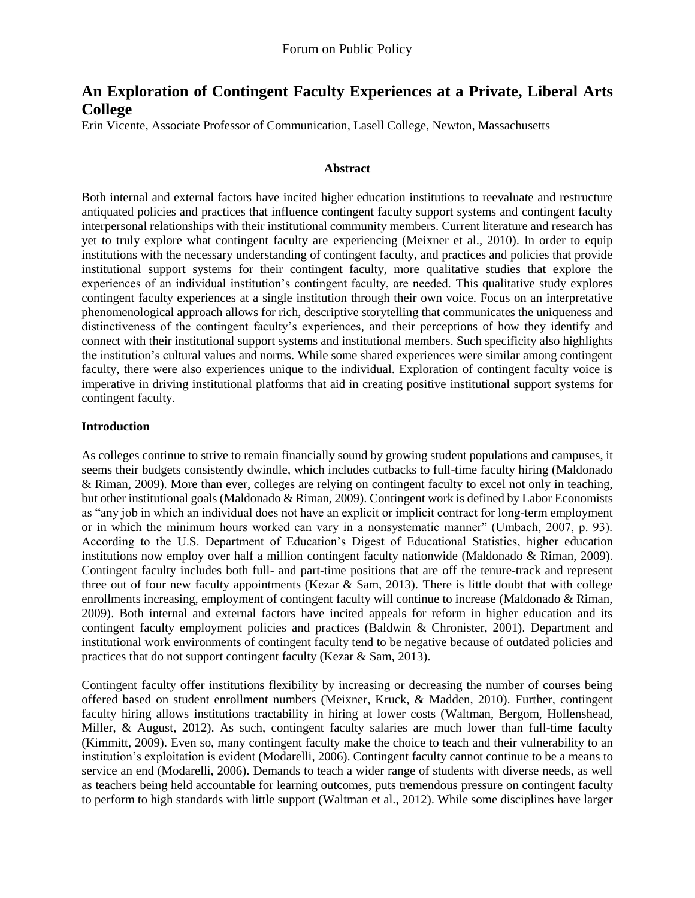# **An Exploration of Contingent Faculty Experiences at a Private, Liberal Arts College**

Erin Vicente, Associate Professor of Communication, Lasell College, Newton, Massachusetts

#### **Abstract**

Both internal and external factors have incited higher education institutions to reevaluate and restructure antiquated policies and practices that influence contingent faculty support systems and contingent faculty interpersonal relationships with their institutional community members. Current literature and research has yet to truly explore what contingent faculty are experiencing (Meixner et al., 2010). In order to equip institutions with the necessary understanding of contingent faculty, and practices and policies that provide institutional support systems for their contingent faculty, more qualitative studies that explore the experiences of an individual institution's contingent faculty, are needed. This qualitative study explores contingent faculty experiences at a single institution through their own voice. Focus on an interpretative phenomenological approach allows for rich, descriptive storytelling that communicates the uniqueness and distinctiveness of the contingent faculty's experiences, and their perceptions of how they identify and connect with their institutional support systems and institutional members. Such specificity also highlights the institution's cultural values and norms. While some shared experiences were similar among contingent faculty, there were also experiences unique to the individual. Exploration of contingent faculty voice is imperative in driving institutional platforms that aid in creating positive institutional support systems for contingent faculty.

#### **Introduction**

As colleges continue to strive to remain financially sound by growing student populations and campuses, it seems their budgets consistently dwindle, which includes cutbacks to full-time faculty hiring (Maldonado & Riman, 2009). More than ever, colleges are relying on contingent faculty to excel not only in teaching, but other institutional goals (Maldonado & Riman, 2009). Contingent work is defined by Labor Economists as "any job in which an individual does not have an explicit or implicit contract for long-term employment or in which the minimum hours worked can vary in a nonsystematic manner" (Umbach, 2007, p. 93). According to the U.S. Department of Education's Digest of Educational Statistics, higher education institutions now employ over half a million contingent faculty nationwide (Maldonado & Riman, 2009). Contingent faculty includes both full- and part-time positions that are off the tenure-track and represent three out of four new faculty appointments (Kezar & Sam, 2013). There is little doubt that with college enrollments increasing, employment of contingent faculty will continue to increase (Maldonado & Riman, 2009). Both internal and external factors have incited appeals for reform in higher education and its contingent faculty employment policies and practices (Baldwin & Chronister, 2001). Department and institutional work environments of contingent faculty tend to be negative because of outdated policies and practices that do not support contingent faculty (Kezar & Sam, 2013).

Contingent faculty offer institutions flexibility by increasing or decreasing the number of courses being offered based on student enrollment numbers (Meixner, Kruck, & Madden, 2010). Further, contingent faculty hiring allows institutions tractability in hiring at lower costs (Waltman, Bergom, Hollenshead, Miller, & August, 2012). As such, contingent faculty salaries are much lower than full-time faculty (Kimmitt, 2009). Even so, many contingent faculty make the choice to teach and their vulnerability to an institution's exploitation is evident (Modarelli, 2006). Contingent faculty cannot continue to be a means to service an end (Modarelli, 2006). Demands to teach a wider range of students with diverse needs, as well as teachers being held accountable for learning outcomes, puts tremendous pressure on contingent faculty to perform to high standards with little support (Waltman et al., 2012). While some disciplines have larger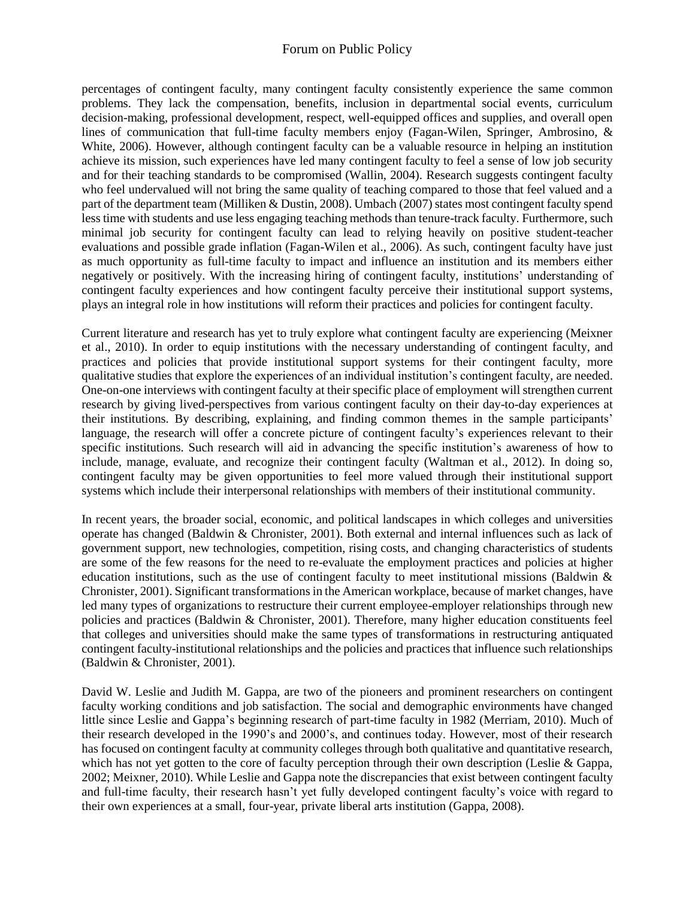percentages of contingent faculty, many contingent faculty consistently experience the same common problems. They lack the compensation, benefits, inclusion in departmental social events, curriculum decision-making, professional development, respect, well-equipped offices and supplies, and overall open lines of communication that full-time faculty members enjoy (Fagan-Wilen, Springer, Ambrosino, & White, 2006). However, although contingent faculty can be a valuable resource in helping an institution achieve its mission, such experiences have led many contingent faculty to feel a sense of low job security and for their teaching standards to be compromised (Wallin, 2004). Research suggests contingent faculty who feel undervalued will not bring the same quality of teaching compared to those that feel valued and a part of the department team (Milliken & Dustin, 2008). Umbach (2007) states most contingent faculty spend less time with students and use less engaging teaching methods than tenure-track faculty. Furthermore, such minimal job security for contingent faculty can lead to relying heavily on positive student-teacher evaluations and possible grade inflation (Fagan-Wilen et al., 2006). As such, contingent faculty have just as much opportunity as full-time faculty to impact and influence an institution and its members either negatively or positively. With the increasing hiring of contingent faculty, institutions' understanding of contingent faculty experiences and how contingent faculty perceive their institutional support systems, plays an integral role in how institutions will reform their practices and policies for contingent faculty.

Current literature and research has yet to truly explore what contingent faculty are experiencing (Meixner et al., 2010). In order to equip institutions with the necessary understanding of contingent faculty, and practices and policies that provide institutional support systems for their contingent faculty, more qualitative studies that explore the experiences of an individual institution's contingent faculty, are needed. One-on-one interviews with contingent faculty at their specific place of employment will strengthen current research by giving lived-perspectives from various contingent faculty on their day-to-day experiences at their institutions. By describing, explaining, and finding common themes in the sample participants' language, the research will offer a concrete picture of contingent faculty's experiences relevant to their specific institutions. Such research will aid in advancing the specific institution's awareness of how to include, manage, evaluate, and recognize their contingent faculty (Waltman et al., 2012). In doing so, contingent faculty may be given opportunities to feel more valued through their institutional support systems which include their interpersonal relationships with members of their institutional community.

In recent years, the broader social, economic, and political landscapes in which colleges and universities operate has changed (Baldwin & Chronister, 2001). Both external and internal influences such as lack of government support, new technologies, competition, rising costs, and changing characteristics of students are some of the few reasons for the need to re-evaluate the employment practices and policies at higher education institutions, such as the use of contingent faculty to meet institutional missions (Baldwin  $\&$ Chronister, 2001). Significant transformations in the American workplace, because of market changes, have led many types of organizations to restructure their current employee-employer relationships through new policies and practices (Baldwin & Chronister, 2001). Therefore, many higher education constituents feel that colleges and universities should make the same types of transformations in restructuring antiquated contingent faculty-institutional relationships and the policies and practices that influence such relationships (Baldwin & Chronister, 2001).

David W. Leslie and Judith M. Gappa, are two of the pioneers and prominent researchers on contingent faculty working conditions and job satisfaction. The social and demographic environments have changed little since Leslie and Gappa's beginning research of part-time faculty in 1982 (Merriam, 2010). Much of their research developed in the 1990's and 2000's, and continues today. However, most of their research has focused on contingent faculty at community colleges through both qualitative and quantitative research, which has not yet gotten to the core of faculty perception through their own description (Leslie & Gappa, 2002; Meixner, 2010). While Leslie and Gappa note the discrepancies that exist between contingent faculty and full-time faculty, their research hasn't yet fully developed contingent faculty's voice with regard to their own experiences at a small, four-year, private liberal arts institution (Gappa, 2008).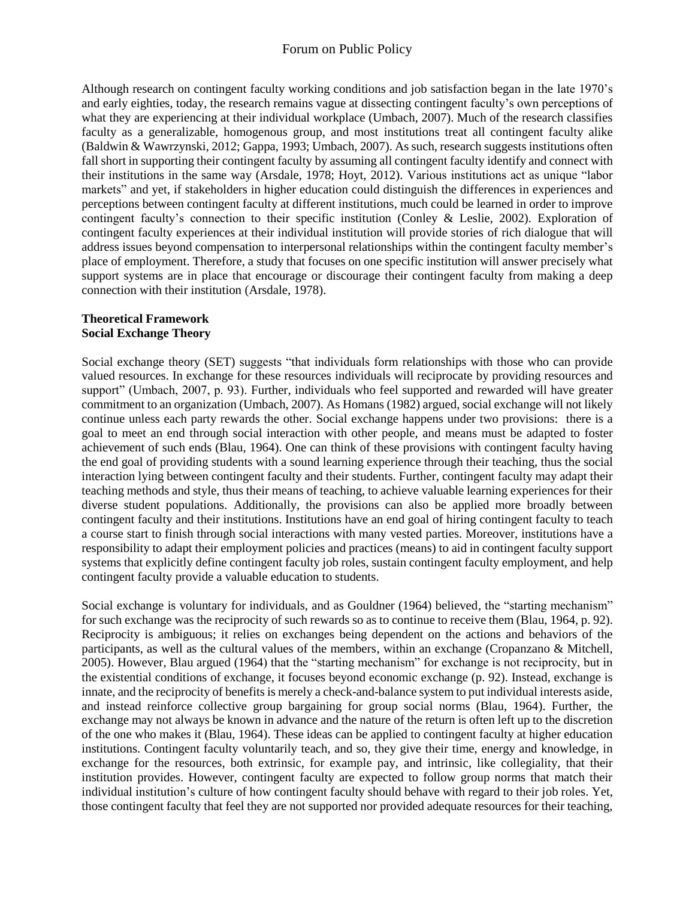Although research on contingent faculty working conditions and job satisfaction began in the late 1970's and early eighties, today, the research remains vague at dissecting contingent faculty's own perceptions of what they are experiencing at their individual workplace (Umbach, 2007). Much of the research classifies faculty as a generalizable, homogenous group, and most institutions treat all contingent faculty alike (Baldwin & Wawrzynski, 2012; Gappa, 1993; Umbach, 2007). As such, research suggests institutions often fall short in supporting their contingent faculty by assuming all contingent faculty identify and connect with their institutions in the same way (Arsdale, 1978; Hoyt, 2012). Various institutions act as unique "labor markets" and yet, if stakeholders in higher education could distinguish the differences in experiences and perceptions between contingent faculty at different institutions, much could be learned in order to improve contingent faculty's connection to their specific institution (Conley & Leslie, 2002). Exploration of contingent faculty experiences at their individual institution will provide stories of rich dialogue that will address issues beyond compensation to interpersonal relationships within the contingent faculty member's place of employment. Therefore, a study that focuses on one specific institution will answer precisely what support systems are in place that encourage or discourage their contingent faculty from making a deep connection with their institution (Arsdale, 1978).

#### **Theoretical Framework Social Exchange Theory**

Social exchange theory (SET) suggests "that individuals form relationships with those who can provide valued resources. In exchange for these resources individuals will reciprocate by providing resources and support" (Umbach, 2007, p. 93). Further, individuals who feel supported and rewarded will have greater commitment to an organization (Umbach, 2007). As Homans (1982) argued, social exchange will not likely continue unless each party rewards the other. Social exchange happens under two provisions: there is a goal to meet an end through social interaction with other people, and means must be adapted to foster achievement of such ends (Blau, 1964). One can think of these provisions with contingent faculty having the end goal of providing students with a sound learning experience through their teaching, thus the social interaction lying between contingent faculty and their students. Further, contingent faculty may adapt their teaching methods and style, thus their means of teaching, to achieve valuable learning experiences for their diverse student populations. Additionally, the provisions can also be applied more broadly between contingent faculty and their institutions. Institutions have an end goal of hiring contingent faculty to teach a course start to finish through social interactions with many vested parties. Moreover, institutions have a responsibility to adapt their employment policies and practices (means) to aid in contingent faculty support systems that explicitly define contingent faculty job roles, sustain contingent faculty employment, and help contingent faculty provide a valuable education to students.

Social exchange is voluntary for individuals, and as Gouldner (1964) believed, the "starting mechanism" for such exchange was the reciprocity of such rewards so as to continue to receive them (Blau, 1964, p. 92). Reciprocity is ambiguous; it relies on exchanges being dependent on the actions and behaviors of the participants, as well as the cultural values of the members, within an exchange (Cropanzano & Mitchell, 2005). However, Blau argued (1964) that the "starting mechanism" for exchange is not reciprocity, but in the existential conditions of exchange, it focuses beyond economic exchange (p. 92). Instead, exchange is innate, and the reciprocity of benefits is merely a check-and-balance system to put individual interests aside, and instead reinforce collective group bargaining for group social norms (Blau, 1964). Further, the exchange may not always be known in advance and the nature of the return is often left up to the discretion of the one who makes it (Blau, 1964). These ideas can be applied to contingent faculty at higher education institutions. Contingent faculty voluntarily teach, and so, they give their time, energy and knowledge, in exchange for the resources, both extrinsic, for example pay, and intrinsic, like collegiality, that their institution provides. However, contingent faculty are expected to follow group norms that match their individual institution's culture of how contingent faculty should behave with regard to their job roles. Yet, those contingent faculty that feel they are not supported nor provided adequate resources for their teaching,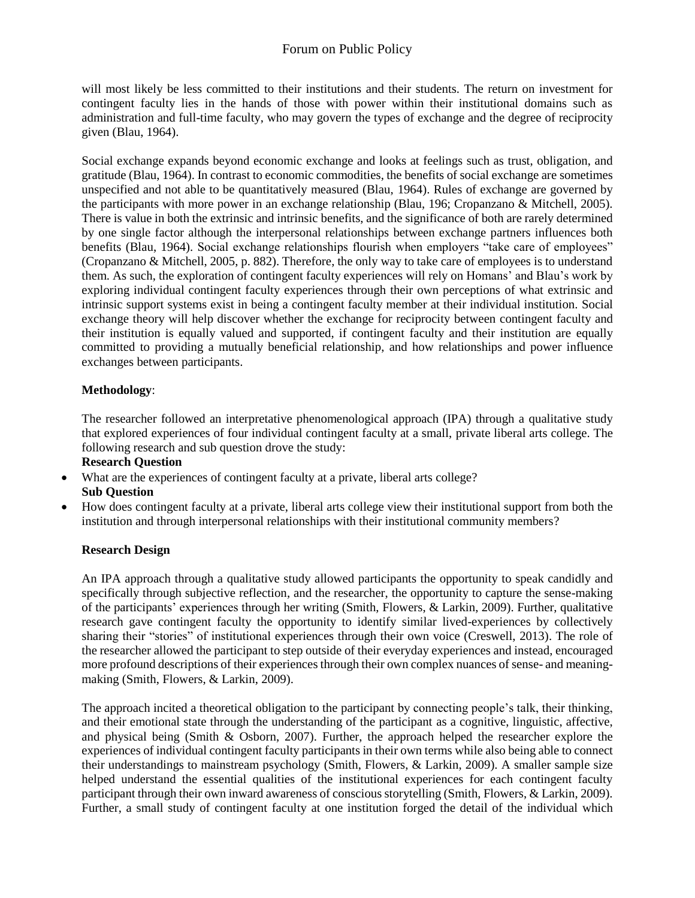will most likely be less committed to their institutions and their students. The return on investment for contingent faculty lies in the hands of those with power within their institutional domains such as administration and full-time faculty, who may govern the types of exchange and the degree of reciprocity given (Blau, 1964).

Social exchange expands beyond economic exchange and looks at feelings such as trust, obligation, and gratitude (Blau, 1964). In contrast to economic commodities, the benefits of social exchange are sometimes unspecified and not able to be quantitatively measured (Blau, 1964). Rules of exchange are governed by the participants with more power in an exchange relationship (Blau, 196; Cropanzano & Mitchell, 2005). There is value in both the extrinsic and intrinsic benefits, and the significance of both are rarely determined by one single factor although the interpersonal relationships between exchange partners influences both benefits (Blau, 1964). Social exchange relationships flourish when employers "take care of employees" (Cropanzano & Mitchell, 2005, p. 882). Therefore, the only way to take care of employees is to understand them. As such, the exploration of contingent faculty experiences will rely on Homans' and Blau's work by exploring individual contingent faculty experiences through their own perceptions of what extrinsic and intrinsic support systems exist in being a contingent faculty member at their individual institution. Social exchange theory will help discover whether the exchange for reciprocity between contingent faculty and their institution is equally valued and supported, if contingent faculty and their institution are equally committed to providing a mutually beneficial relationship, and how relationships and power influence exchanges between participants.

### **Methodology**:

The researcher followed an interpretative phenomenological approach (IPA) through a qualitative study that explored experiences of four individual contingent faculty at a small, private liberal arts college. The following research and sub question drove the study:

**Research Question**

- What are the experiences of contingent faculty at a private, liberal arts college? **Sub Question**
- How does contingent faculty at a private, liberal arts college view their institutional support from both the institution and through interpersonal relationships with their institutional community members?

### **Research Design**

An IPA approach through a qualitative study allowed participants the opportunity to speak candidly and specifically through subjective reflection, and the researcher, the opportunity to capture the sense-making of the participants' experiences through her writing (Smith, Flowers, & Larkin, 2009). Further, qualitative research gave contingent faculty the opportunity to identify similar lived-experiences by collectively sharing their "stories" of institutional experiences through their own voice (Creswell, 2013). The role of the researcher allowed the participant to step outside of their everyday experiences and instead, encouraged more profound descriptions of their experiences through their own complex nuances of sense- and meaningmaking (Smith, Flowers, & Larkin, 2009).

The approach incited a theoretical obligation to the participant by connecting people's talk, their thinking, and their emotional state through the understanding of the participant as a cognitive, linguistic, affective, and physical being (Smith & Osborn, 2007). Further, the approach helped the researcher explore the experiences of individual contingent faculty participants in their own terms while also being able to connect their understandings to mainstream psychology (Smith, Flowers, & Larkin, 2009). A smaller sample size helped understand the essential qualities of the institutional experiences for each contingent faculty participant through their own inward awareness of conscious storytelling (Smith, Flowers, & Larkin, 2009). Further, a small study of contingent faculty at one institution forged the detail of the individual which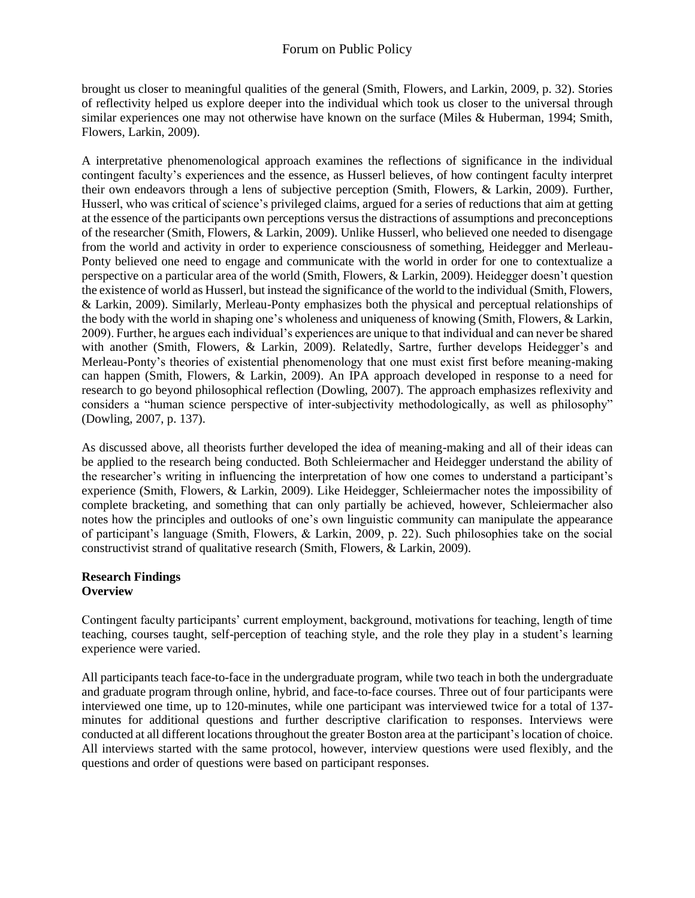brought us closer to meaningful qualities of the general (Smith, Flowers, and Larkin, 2009, p. 32). Stories of reflectivity helped us explore deeper into the individual which took us closer to the universal through similar experiences one may not otherwise have known on the surface (Miles & Huberman, 1994; Smith, Flowers, Larkin, 2009).

A interpretative phenomenological approach examines the reflections of significance in the individual contingent faculty's experiences and the essence, as Husserl believes, of how contingent faculty interpret their own endeavors through a lens of subjective perception (Smith, Flowers, & Larkin, 2009). Further, Husserl, who was critical of science's privileged claims, argued for a series of reductions that aim at getting at the essence of the participants own perceptions versus the distractions of assumptions and preconceptions of the researcher (Smith, Flowers, & Larkin, 2009). Unlike Husserl, who believed one needed to disengage from the world and activity in order to experience consciousness of something, Heidegger and Merleau-Ponty believed one need to engage and communicate with the world in order for one to contextualize a perspective on a particular area of the world (Smith, Flowers, & Larkin, 2009). Heidegger doesn't question the existence of world as Husserl, but instead the significance of the world to the individual (Smith, Flowers, & Larkin, 2009). Similarly, Merleau-Ponty emphasizes both the physical and perceptual relationships of the body with the world in shaping one's wholeness and uniqueness of knowing (Smith, Flowers, & Larkin, 2009). Further, he argues each individual's experiences are unique to that individual and can never be shared with another (Smith, Flowers, & Larkin, 2009). Relatedly, Sartre, further develops Heidegger's and Merleau-Ponty's theories of existential phenomenology that one must exist first before meaning-making can happen (Smith, Flowers, & Larkin, 2009). An IPA approach developed in response to a need for research to go beyond philosophical reflection (Dowling, 2007). The approach emphasizes reflexivity and considers a "human science perspective of inter-subjectivity methodologically, as well as philosophy" (Dowling, 2007, p. 137).

As discussed above, all theorists further developed the idea of meaning-making and all of their ideas can be applied to the research being conducted. Both Schleiermacher and Heidegger understand the ability of the researcher's writing in influencing the interpretation of how one comes to understand a participant's experience (Smith, Flowers, & Larkin, 2009). Like Heidegger, Schleiermacher notes the impossibility of complete bracketing, and something that can only partially be achieved, however, Schleiermacher also notes how the principles and outlooks of one's own linguistic community can manipulate the appearance of participant's language (Smith, Flowers, & Larkin, 2009, p. 22). Such philosophies take on the social constructivist strand of qualitative research (Smith, Flowers, & Larkin, 2009).

#### **Research Findings Overview**

Contingent faculty participants' current employment, background, motivations for teaching, length of time teaching, courses taught, self-perception of teaching style, and the role they play in a student's learning experience were varied.

All participants teach face-to-face in the undergraduate program, while two teach in both the undergraduate and graduate program through online, hybrid, and face-to-face courses. Three out of four participants were interviewed one time, up to 120-minutes, while one participant was interviewed twice for a total of 137 minutes for additional questions and further descriptive clarification to responses. Interviews were conducted at all different locationsthroughout the greater Boston area at the participant'slocation of choice. All interviews started with the same protocol, however, interview questions were used flexibly, and the questions and order of questions were based on participant responses.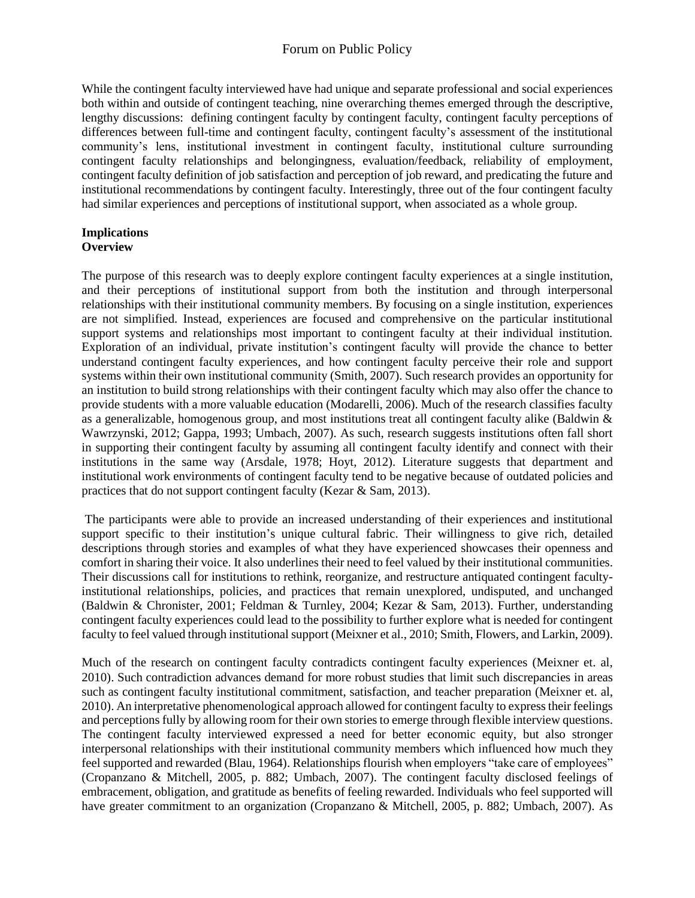While the contingent faculty interviewed have had unique and separate professional and social experiences both within and outside of contingent teaching, nine overarching themes emerged through the descriptive, lengthy discussions: defining contingent faculty by contingent faculty, contingent faculty perceptions of differences between full-time and contingent faculty, contingent faculty's assessment of the institutional community's lens, institutional investment in contingent faculty, institutional culture surrounding contingent faculty relationships and belongingness, evaluation/feedback, reliability of employment, contingent faculty definition of job satisfaction and perception of job reward, and predicating the future and institutional recommendations by contingent faculty. Interestingly, three out of the four contingent faculty had similar experiences and perceptions of institutional support, when associated as a whole group.

#### **Implications Overview**

The purpose of this research was to deeply explore contingent faculty experiences at a single institution, and their perceptions of institutional support from both the institution and through interpersonal relationships with their institutional community members. By focusing on a single institution, experiences are not simplified. Instead, experiences are focused and comprehensive on the particular institutional support systems and relationships most important to contingent faculty at their individual institution. Exploration of an individual, private institution's contingent faculty will provide the chance to better understand contingent faculty experiences, and how contingent faculty perceive their role and support systems within their own institutional community (Smith, 2007). Such research provides an opportunity for an institution to build strong relationships with their contingent faculty which may also offer the chance to provide students with a more valuable education (Modarelli, 2006). Much of the research classifies faculty as a generalizable, homogenous group, and most institutions treat all contingent faculty alike (Baldwin  $\&$ Wawrzynski, 2012; Gappa, 1993; Umbach, 2007). As such, research suggests institutions often fall short in supporting their contingent faculty by assuming all contingent faculty identify and connect with their institutions in the same way (Arsdale, 1978; Hoyt, 2012). Literature suggests that department and institutional work environments of contingent faculty tend to be negative because of outdated policies and practices that do not support contingent faculty (Kezar & Sam, 2013).

The participants were able to provide an increased understanding of their experiences and institutional support specific to their institution's unique cultural fabric. Their willingness to give rich, detailed descriptions through stories and examples of what they have experienced showcases their openness and comfort in sharing their voice. It also underlines their need to feel valued by their institutional communities. Their discussions call for institutions to rethink, reorganize, and restructure antiquated contingent facultyinstitutional relationships, policies, and practices that remain unexplored, undisputed, and unchanged (Baldwin & Chronister, 2001; Feldman & Turnley, 2004; Kezar & Sam, 2013). Further, understanding contingent faculty experiences could lead to the possibility to further explore what is needed for contingent faculty to feel valued through institutional support (Meixner et al., 2010; Smith, Flowers, and Larkin, 2009).

Much of the research on contingent faculty contradicts contingent faculty experiences (Meixner et. al, 2010). Such contradiction advances demand for more robust studies that limit such discrepancies in areas such as contingent faculty institutional commitment, satisfaction, and teacher preparation (Meixner et. al, 2010). An interpretative phenomenological approach allowed for contingent faculty to express their feelings and perceptions fully by allowing room for their own stories to emerge through flexible interview questions. The contingent faculty interviewed expressed a need for better economic equity, but also stronger interpersonal relationships with their institutional community members which influenced how much they feel supported and rewarded (Blau, 1964). Relationships flourish when employers "take care of employees" (Cropanzano & Mitchell, 2005, p. 882; Umbach, 2007). The contingent faculty disclosed feelings of embracement, obligation, and gratitude as benefits of feeling rewarded. Individuals who feel supported will have greater commitment to an organization (Cropanzano & Mitchell, 2005, p. 882; Umbach, 2007). As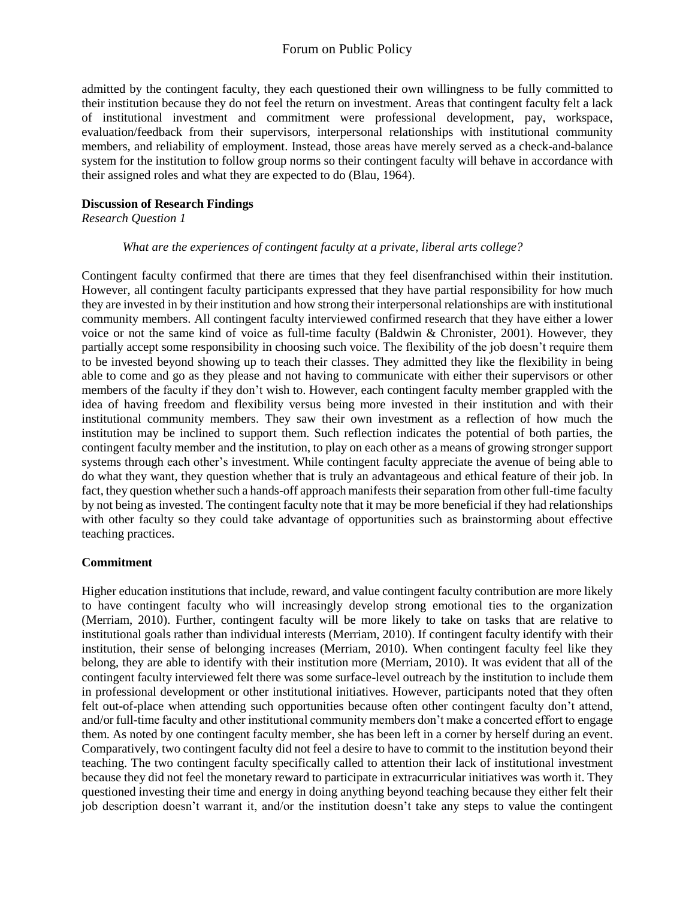admitted by the contingent faculty, they each questioned their own willingness to be fully committed to their institution because they do not feel the return on investment. Areas that contingent faculty felt a lack of institutional investment and commitment were professional development, pay, workspace, evaluation/feedback from their supervisors, interpersonal relationships with institutional community members, and reliability of employment. Instead, those areas have merely served as a check-and-balance system for the institution to follow group norms so their contingent faculty will behave in accordance with their assigned roles and what they are expected to do (Blau, 1964).

#### **Discussion of Research Findings**

*Research Question 1*

#### *What are the experiences of contingent faculty at a private, liberal arts college?*

Contingent faculty confirmed that there are times that they feel disenfranchised within their institution. However, all contingent faculty participants expressed that they have partial responsibility for how much they are invested in by their institution and how strong their interpersonal relationships are with institutional community members. All contingent faculty interviewed confirmed research that they have either a lower voice or not the same kind of voice as full-time faculty (Baldwin & Chronister, 2001). However, they partially accept some responsibility in choosing such voice. The flexibility of the job doesn't require them to be invested beyond showing up to teach their classes. They admitted they like the flexibility in being able to come and go as they please and not having to communicate with either their supervisors or other members of the faculty if they don't wish to. However, each contingent faculty member grappled with the idea of having freedom and flexibility versus being more invested in their institution and with their institutional community members. They saw their own investment as a reflection of how much the institution may be inclined to support them. Such reflection indicates the potential of both parties, the contingent faculty member and the institution, to play on each other as a means of growing stronger support systems through each other's investment. While contingent faculty appreciate the avenue of being able to do what they want, they question whether that is truly an advantageous and ethical feature of their job. In fact, they question whether such a hands-off approach manifests their separation from other full-time faculty by not being as invested. The contingent faculty note that it may be more beneficial if they had relationships with other faculty so they could take advantage of opportunities such as brainstorming about effective teaching practices.

### **Commitment**

Higher education institutions that include, reward, and value contingent faculty contribution are more likely to have contingent faculty who will increasingly develop strong emotional ties to the organization (Merriam, 2010). Further, contingent faculty will be more likely to take on tasks that are relative to institutional goals rather than individual interests (Merriam, 2010). If contingent faculty identify with their institution, their sense of belonging increases (Merriam, 2010). When contingent faculty feel like they belong, they are able to identify with their institution more (Merriam, 2010). It was evident that all of the contingent faculty interviewed felt there was some surface-level outreach by the institution to include them in professional development or other institutional initiatives. However, participants noted that they often felt out-of-place when attending such opportunities because often other contingent faculty don't attend, and/or full-time faculty and other institutional community members don't make a concerted effort to engage them. As noted by one contingent faculty member, she has been left in a corner by herself during an event. Comparatively, two contingent faculty did not feel a desire to have to commit to the institution beyond their teaching. The two contingent faculty specifically called to attention their lack of institutional investment because they did not feel the monetary reward to participate in extracurricular initiatives was worth it. They questioned investing their time and energy in doing anything beyond teaching because they either felt their job description doesn't warrant it, and/or the institution doesn't take any steps to value the contingent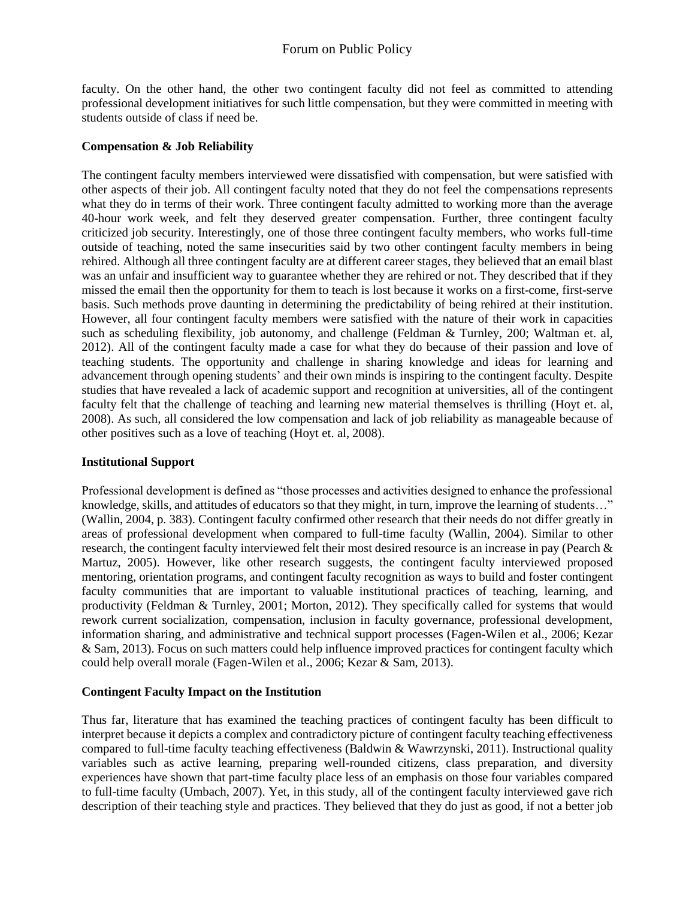faculty. On the other hand, the other two contingent faculty did not feel as committed to attending professional development initiatives for such little compensation, but they were committed in meeting with students outside of class if need be.

### **Compensation & Job Reliability**

The contingent faculty members interviewed were dissatisfied with compensation, but were satisfied with other aspects of their job. All contingent faculty noted that they do not feel the compensations represents what they do in terms of their work. Three contingent faculty admitted to working more than the average 40-hour work week, and felt they deserved greater compensation. Further, three contingent faculty criticized job security. Interestingly, one of those three contingent faculty members, who works full-time outside of teaching, noted the same insecurities said by two other contingent faculty members in being rehired. Although all three contingent faculty are at different career stages, they believed that an email blast was an unfair and insufficient way to guarantee whether they are rehired or not. They described that if they missed the email then the opportunity for them to teach is lost because it works on a first-come, first-serve basis. Such methods prove daunting in determining the predictability of being rehired at their institution. However, all four contingent faculty members were satisfied with the nature of their work in capacities such as scheduling flexibility, job autonomy, and challenge (Feldman & Turnley, 200; Waltman et. al, 2012). All of the contingent faculty made a case for what they do because of their passion and love of teaching students. The opportunity and challenge in sharing knowledge and ideas for learning and advancement through opening students' and their own minds is inspiring to the contingent faculty. Despite studies that have revealed a lack of academic support and recognition at universities, all of the contingent faculty felt that the challenge of teaching and learning new material themselves is thrilling (Hoyt et. al, 2008). As such, all considered the low compensation and lack of job reliability as manageable because of other positives such as a love of teaching (Hoyt et. al, 2008).

#### **Institutional Support**

Professional development is defined as "those processes and activities designed to enhance the professional knowledge, skills, and attitudes of educators so that they might, in turn, improve the learning of students…" (Wallin, 2004, p. 383). Contingent faculty confirmed other research that their needs do not differ greatly in areas of professional development when compared to full-time faculty (Wallin, 2004). Similar to other research, the contingent faculty interviewed felt their most desired resource is an increase in pay (Pearch & Martuz, 2005). However, like other research suggests, the contingent faculty interviewed proposed mentoring, orientation programs, and contingent faculty recognition as ways to build and foster contingent faculty communities that are important to valuable institutional practices of teaching, learning, and productivity (Feldman & Turnley, 2001; Morton, 2012). They specifically called for systems that would rework current socialization, compensation, inclusion in faculty governance, professional development, information sharing, and administrative and technical support processes (Fagen-Wilen et al., 2006; Kezar & Sam, 2013). Focus on such matters could help influence improved practices for contingent faculty which could help overall morale (Fagen-Wilen et al., 2006; Kezar & Sam, 2013).

#### **Contingent Faculty Impact on the Institution**

Thus far, literature that has examined the teaching practices of contingent faculty has been difficult to interpret because it depicts a complex and contradictory picture of contingent faculty teaching effectiveness compared to full-time faculty teaching effectiveness (Baldwin & Wawrzynski, 2011). Instructional quality variables such as active learning, preparing well-rounded citizens, class preparation, and diversity experiences have shown that part-time faculty place less of an emphasis on those four variables compared to full-time faculty (Umbach, 2007). Yet, in this study, all of the contingent faculty interviewed gave rich description of their teaching style and practices. They believed that they do just as good, if not a better job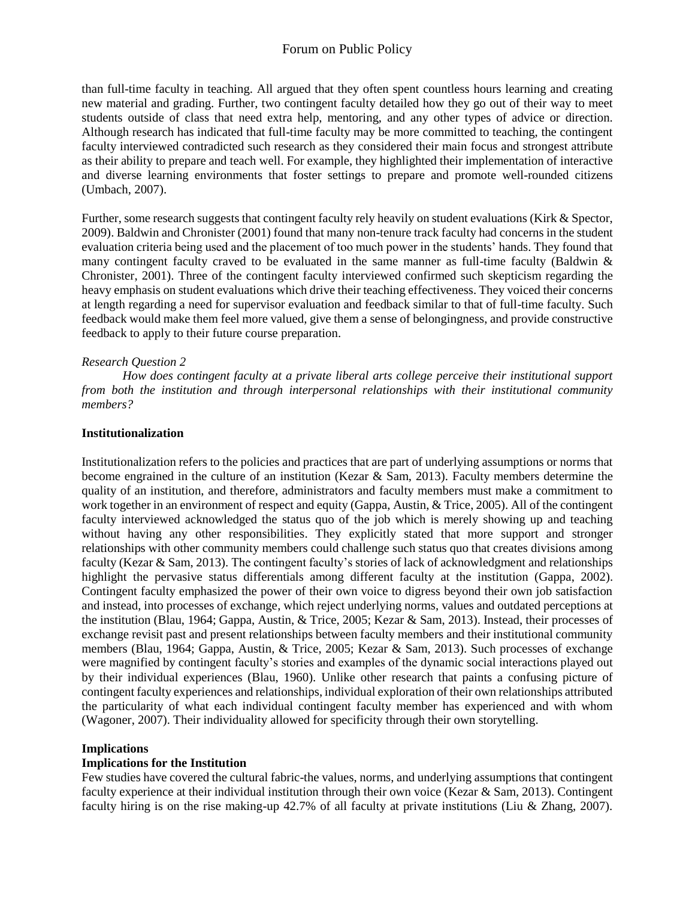than full-time faculty in teaching. All argued that they often spent countless hours learning and creating new material and grading. Further, two contingent faculty detailed how they go out of their way to meet students outside of class that need extra help, mentoring, and any other types of advice or direction. Although research has indicated that full-time faculty may be more committed to teaching, the contingent faculty interviewed contradicted such research as they considered their main focus and strongest attribute as their ability to prepare and teach well. For example, they highlighted their implementation of interactive and diverse learning environments that foster settings to prepare and promote well-rounded citizens (Umbach, 2007).

Further, some research suggests that contingent faculty rely heavily on student evaluations (Kirk & Spector, 2009). Baldwin and Chronister (2001) found that many non-tenure track faculty had concerns in the student evaluation criteria being used and the placement of too much power in the students' hands. They found that many contingent faculty craved to be evaluated in the same manner as full-time faculty (Baldwin  $\&$ Chronister, 2001). Three of the contingent faculty interviewed confirmed such skepticism regarding the heavy emphasis on student evaluations which drive their teaching effectiveness. They voiced their concerns at length regarding a need for supervisor evaluation and feedback similar to that of full-time faculty. Such feedback would make them feel more valued, give them a sense of belongingness, and provide constructive feedback to apply to their future course preparation.

#### *Research Question 2*

*How does contingent faculty at a private liberal arts college perceive their institutional support from both the institution and through interpersonal relationships with their institutional community members?*

#### **Institutionalization**

Institutionalization refers to the policies and practices that are part of underlying assumptions or norms that become engrained in the culture of an institution (Kezar & Sam, 2013). Faculty members determine the quality of an institution, and therefore, administrators and faculty members must make a commitment to work together in an environment of respect and equity (Gappa, Austin, & Trice, 2005). All of the contingent faculty interviewed acknowledged the status quo of the job which is merely showing up and teaching without having any other responsibilities. They explicitly stated that more support and stronger relationships with other community members could challenge such status quo that creates divisions among faculty (Kezar & Sam, 2013). The contingent faculty's stories of lack of acknowledgment and relationships highlight the pervasive status differentials among different faculty at the institution (Gappa, 2002). Contingent faculty emphasized the power of their own voice to digress beyond their own job satisfaction and instead, into processes of exchange, which reject underlying norms, values and outdated perceptions at the institution (Blau, 1964; Gappa, Austin, & Trice, 2005; Kezar & Sam, 2013). Instead, their processes of exchange revisit past and present relationships between faculty members and their institutional community members (Blau, 1964; Gappa, Austin, & Trice, 2005; Kezar & Sam, 2013). Such processes of exchange were magnified by contingent faculty's stories and examples of the dynamic social interactions played out by their individual experiences (Blau, 1960). Unlike other research that paints a confusing picture of contingent faculty experiences and relationships, individual exploration of their own relationships attributed the particularity of what each individual contingent faculty member has experienced and with whom (Wagoner, 2007). Their individuality allowed for specificity through their own storytelling.

#### **Implications**

#### **Implications for the Institution**

Few studies have covered the cultural fabric-the values, norms, and underlying assumptions that contingent faculty experience at their individual institution through their own voice (Kezar & Sam, 2013). Contingent faculty hiring is on the rise making-up 42.7% of all faculty at private institutions (Liu & Zhang, 2007).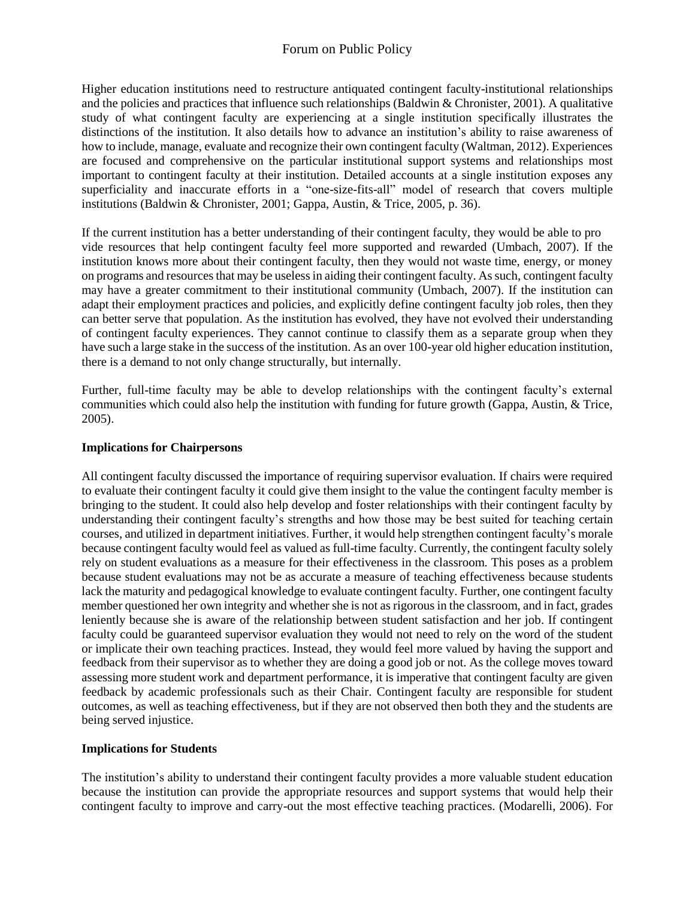Higher education institutions need to restructure antiquated contingent faculty-institutional relationships and the policies and practices that influence such relationships (Baldwin & Chronister, 2001). A qualitative study of what contingent faculty are experiencing at a single institution specifically illustrates the distinctions of the institution. It also details how to advance an institution's ability to raise awareness of how to include, manage, evaluate and recognize their own contingent faculty (Waltman, 2012). Experiences are focused and comprehensive on the particular institutional support systems and relationships most important to contingent faculty at their institution. Detailed accounts at a single institution exposes any superficiality and inaccurate efforts in a "one-size-fits-all" model of research that covers multiple institutions (Baldwin & Chronister, 2001; Gappa, Austin, & Trice, 2005, p. 36).

If the current institution has a better understanding of their contingent faculty, they would be able to pro vide resources that help contingent faculty feel more supported and rewarded (Umbach, 2007). If the institution knows more about their contingent faculty, then they would not waste time, energy, or money on programs and resources that may be useless in aiding their contingent faculty. As such, contingent faculty may have a greater commitment to their institutional community (Umbach, 2007). If the institution can adapt their employment practices and policies, and explicitly define contingent faculty job roles, then they can better serve that population. As the institution has evolved, they have not evolved their understanding of contingent faculty experiences. They cannot continue to classify them as a separate group when they have such a large stake in the success of the institution. As an over 100-year old higher education institution, there is a demand to not only change structurally, but internally.

Further, full-time faculty may be able to develop relationships with the contingent faculty's external communities which could also help the institution with funding for future growth (Gappa, Austin, & Trice, 2005).

#### **Implications for Chairpersons**

All contingent faculty discussed the importance of requiring supervisor evaluation. If chairs were required to evaluate their contingent faculty it could give them insight to the value the contingent faculty member is bringing to the student. It could also help develop and foster relationships with their contingent faculty by understanding their contingent faculty's strengths and how those may be best suited for teaching certain courses, and utilized in department initiatives. Further, it would help strengthen contingent faculty's morale because contingent faculty would feel as valued as full-time faculty. Currently, the contingent faculty solely rely on student evaluations as a measure for their effectiveness in the classroom. This poses as a problem because student evaluations may not be as accurate a measure of teaching effectiveness because students lack the maturity and pedagogical knowledge to evaluate contingent faculty. Further, one contingent faculty member questioned her own integrity and whether she is not as rigorous in the classroom, and in fact, grades leniently because she is aware of the relationship between student satisfaction and her job. If contingent faculty could be guaranteed supervisor evaluation they would not need to rely on the word of the student or implicate their own teaching practices. Instead, they would feel more valued by having the support and feedback from their supervisor as to whether they are doing a good job or not. As the college moves toward assessing more student work and department performance, it is imperative that contingent faculty are given feedback by academic professionals such as their Chair. Contingent faculty are responsible for student outcomes, as well as teaching effectiveness, but if they are not observed then both they and the students are being served injustice.

#### **Implications for Students**

The institution's ability to understand their contingent faculty provides a more valuable student education because the institution can provide the appropriate resources and support systems that would help their contingent faculty to improve and carry-out the most effective teaching practices. (Modarelli, 2006). For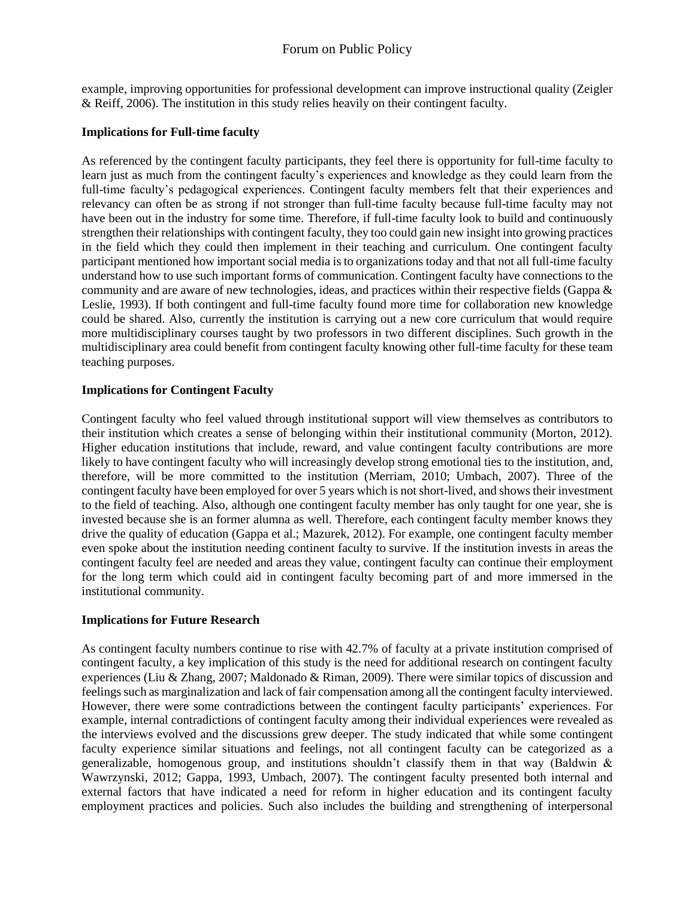example, improving opportunities for professional development can improve instructional quality (Zeigler & Reiff, 2006). The institution in this study relies heavily on their contingent faculty.

#### **Implications for Full-time faculty**

As referenced by the contingent faculty participants, they feel there is opportunity for full-time faculty to learn just as much from the contingent faculty's experiences and knowledge as they could learn from the full-time faculty's pedagogical experiences. Contingent faculty members felt that their experiences and relevancy can often be as strong if not stronger than full-time faculty because full-time faculty may not have been out in the industry for some time. Therefore, if full-time faculty look to build and continuously strengthen their relationships with contingent faculty, they too could gain new insight into growing practices in the field which they could then implement in their teaching and curriculum. One contingent faculty participant mentioned how important social media is to organizations today and that not all full-time faculty understand how to use such important forms of communication. Contingent faculty have connections to the community and are aware of new technologies, ideas, and practices within their respective fields (Gappa & Leslie, 1993). If both contingent and full-time faculty found more time for collaboration new knowledge could be shared. Also, currently the institution is carrying out a new core curriculum that would require more multidisciplinary courses taught by two professors in two different disciplines. Such growth in the multidisciplinary area could benefit from contingent faculty knowing other full-time faculty for these team teaching purposes.

#### **Implications for Contingent Faculty**

Contingent faculty who feel valued through institutional support will view themselves as contributors to their institution which creates a sense of belonging within their institutional community (Morton, 2012). Higher education institutions that include, reward, and value contingent faculty contributions are more likely to have contingent faculty who will increasingly develop strong emotional ties to the institution, and, therefore, will be more committed to the institution (Merriam, 2010; Umbach, 2007). Three of the contingent faculty have been employed for over 5 years which is not short-lived, and shows their investment to the field of teaching. Also, although one contingent faculty member has only taught for one year, she is invested because she is an former alumna as well. Therefore, each contingent faculty member knows they drive the quality of education (Gappa et al.; Mazurek, 2012). For example, one contingent faculty member even spoke about the institution needing continent faculty to survive. If the institution invests in areas the contingent faculty feel are needed and areas they value, contingent faculty can continue their employment for the long term which could aid in contingent faculty becoming part of and more immersed in the institutional community.

#### **Implications for Future Research**

As contingent faculty numbers continue to rise with 42.7% of faculty at a private institution comprised of contingent faculty, a key implication of this study is the need for additional research on contingent faculty experiences (Liu & Zhang, 2007; Maldonado & Riman, 2009). There were similar topics of discussion and feelings such as marginalization and lack of fair compensation among all the contingent faculty interviewed. However, there were some contradictions between the contingent faculty participants' experiences. For example, internal contradictions of contingent faculty among their individual experiences were revealed as the interviews evolved and the discussions grew deeper. The study indicated that while some contingent faculty experience similar situations and feelings, not all contingent faculty can be categorized as a generalizable, homogenous group, and institutions shouldn't classify them in that way (Baldwin  $\&$ Wawrzynski, 2012; Gappa, 1993, Umbach, 2007). The contingent faculty presented both internal and external factors that have indicated a need for reform in higher education and its contingent faculty employment practices and policies. Such also includes the building and strengthening of interpersonal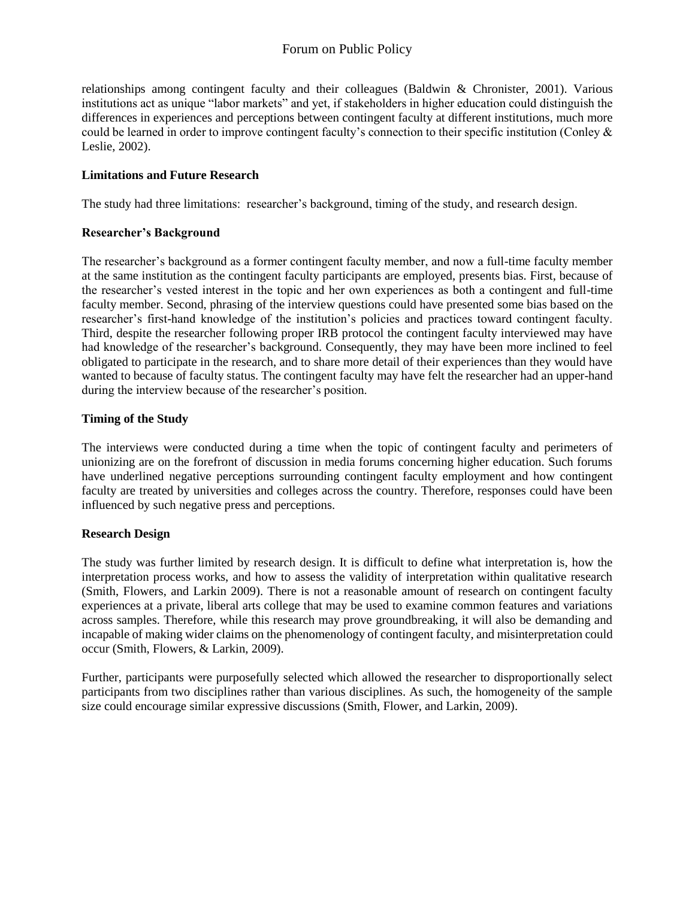relationships among contingent faculty and their colleagues (Baldwin & Chronister, 2001). Various institutions act as unique "labor markets" and yet, if stakeholders in higher education could distinguish the differences in experiences and perceptions between contingent faculty at different institutions, much more could be learned in order to improve contingent faculty's connection to their specific institution (Conley & Leslie, 2002).

#### **Limitations and Future Research**

The study had three limitations: researcher's background, timing of the study, and research design.

#### **Researcher's Background**

The researcher's background as a former contingent faculty member, and now a full-time faculty member at the same institution as the contingent faculty participants are employed, presents bias. First, because of the researcher's vested interest in the topic and her own experiences as both a contingent and full-time faculty member. Second, phrasing of the interview questions could have presented some bias based on the researcher's first-hand knowledge of the institution's policies and practices toward contingent faculty. Third, despite the researcher following proper IRB protocol the contingent faculty interviewed may have had knowledge of the researcher's background. Consequently, they may have been more inclined to feel obligated to participate in the research, and to share more detail of their experiences than they would have wanted to because of faculty status. The contingent faculty may have felt the researcher had an upper-hand during the interview because of the researcher's position.

#### **Timing of the Study**

The interviews were conducted during a time when the topic of contingent faculty and perimeters of unionizing are on the forefront of discussion in media forums concerning higher education. Such forums have underlined negative perceptions surrounding contingent faculty employment and how contingent faculty are treated by universities and colleges across the country. Therefore, responses could have been influenced by such negative press and perceptions.

### **Research Design**

The study was further limited by research design. It is difficult to define what interpretation is, how the interpretation process works, and how to assess the validity of interpretation within qualitative research (Smith, Flowers, and Larkin 2009). There is not a reasonable amount of research on contingent faculty experiences at a private, liberal arts college that may be used to examine common features and variations across samples. Therefore, while this research may prove groundbreaking, it will also be demanding and incapable of making wider claims on the phenomenology of contingent faculty, and misinterpretation could occur (Smith, Flowers, & Larkin, 2009).

Further, participants were purposefully selected which allowed the researcher to disproportionally select participants from two disciplines rather than various disciplines. As such, the homogeneity of the sample size could encourage similar expressive discussions (Smith, Flower, and Larkin, 2009).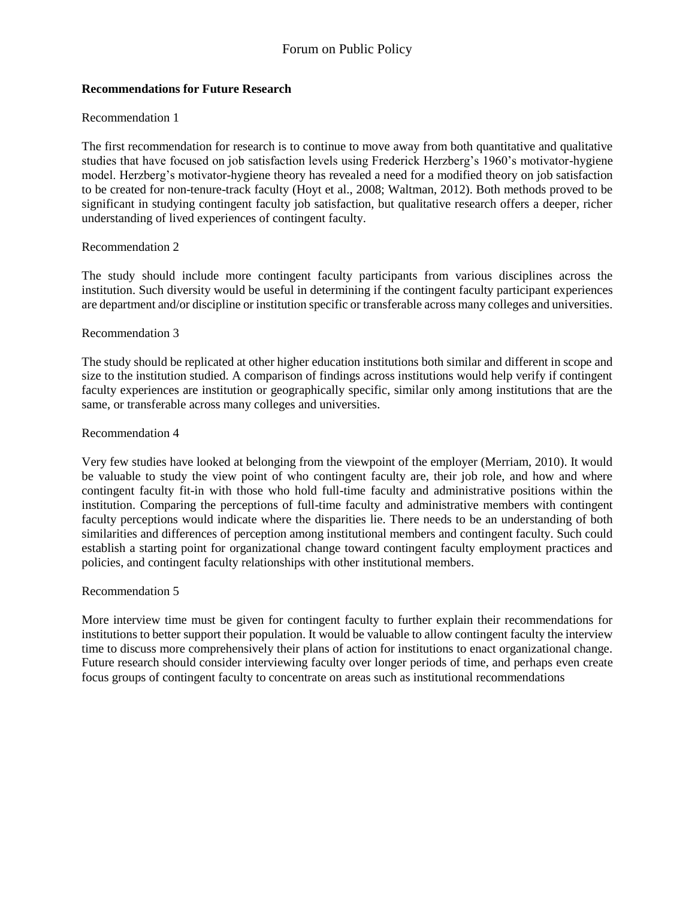#### **Recommendations for Future Research**

#### Recommendation 1

The first recommendation for research is to continue to move away from both quantitative and qualitative studies that have focused on job satisfaction levels using Frederick Herzberg's 1960's motivator-hygiene model. Herzberg's motivator-hygiene theory has revealed a need for a modified theory on job satisfaction to be created for non-tenure-track faculty (Hoyt et al., 2008; Waltman, 2012). Both methods proved to be significant in studying contingent faculty job satisfaction, but qualitative research offers a deeper, richer understanding of lived experiences of contingent faculty.

#### Recommendation 2

The study should include more contingent faculty participants from various disciplines across the institution. Such diversity would be useful in determining if the contingent faculty participant experiences are department and/or discipline or institution specific or transferable across many colleges and universities.

#### Recommendation 3

The study should be replicated at other higher education institutions both similar and different in scope and size to the institution studied. A comparison of findings across institutions would help verify if contingent faculty experiences are institution or geographically specific, similar only among institutions that are the same, or transferable across many colleges and universities.

#### Recommendation 4

Very few studies have looked at belonging from the viewpoint of the employer (Merriam, 2010). It would be valuable to study the view point of who contingent faculty are, their job role, and how and where contingent faculty fit-in with those who hold full-time faculty and administrative positions within the institution. Comparing the perceptions of full-time faculty and administrative members with contingent faculty perceptions would indicate where the disparities lie. There needs to be an understanding of both similarities and differences of perception among institutional members and contingent faculty. Such could establish a starting point for organizational change toward contingent faculty employment practices and policies, and contingent faculty relationships with other institutional members.

#### Recommendation 5

More interview time must be given for contingent faculty to further explain their recommendations for institutions to better support their population. It would be valuable to allow contingent faculty the interview time to discuss more comprehensively their plans of action for institutions to enact organizational change. Future research should consider interviewing faculty over longer periods of time, and perhaps even create focus groups of contingent faculty to concentrate on areas such as institutional recommendations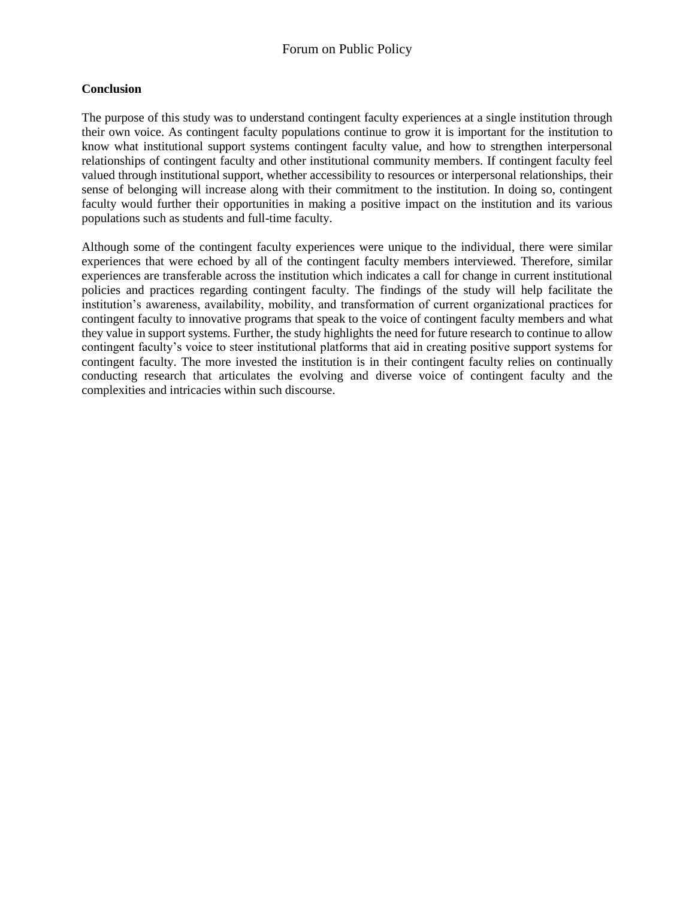#### **Conclusion**

The purpose of this study was to understand contingent faculty experiences at a single institution through their own voice. As contingent faculty populations continue to grow it is important for the institution to know what institutional support systems contingent faculty value, and how to strengthen interpersonal relationships of contingent faculty and other institutional community members. If contingent faculty feel valued through institutional support, whether accessibility to resources or interpersonal relationships, their sense of belonging will increase along with their commitment to the institution. In doing so, contingent faculty would further their opportunities in making a positive impact on the institution and its various populations such as students and full-time faculty.

Although some of the contingent faculty experiences were unique to the individual, there were similar experiences that were echoed by all of the contingent faculty members interviewed. Therefore, similar experiences are transferable across the institution which indicates a call for change in current institutional policies and practices regarding contingent faculty. The findings of the study will help facilitate the institution's awareness, availability, mobility, and transformation of current organizational practices for contingent faculty to innovative programs that speak to the voice of contingent faculty members and what they value in support systems. Further, the study highlights the need for future research to continue to allow contingent faculty's voice to steer institutional platforms that aid in creating positive support systems for contingent faculty. The more invested the institution is in their contingent faculty relies on continually conducting research that articulates the evolving and diverse voice of contingent faculty and the complexities and intricacies within such discourse.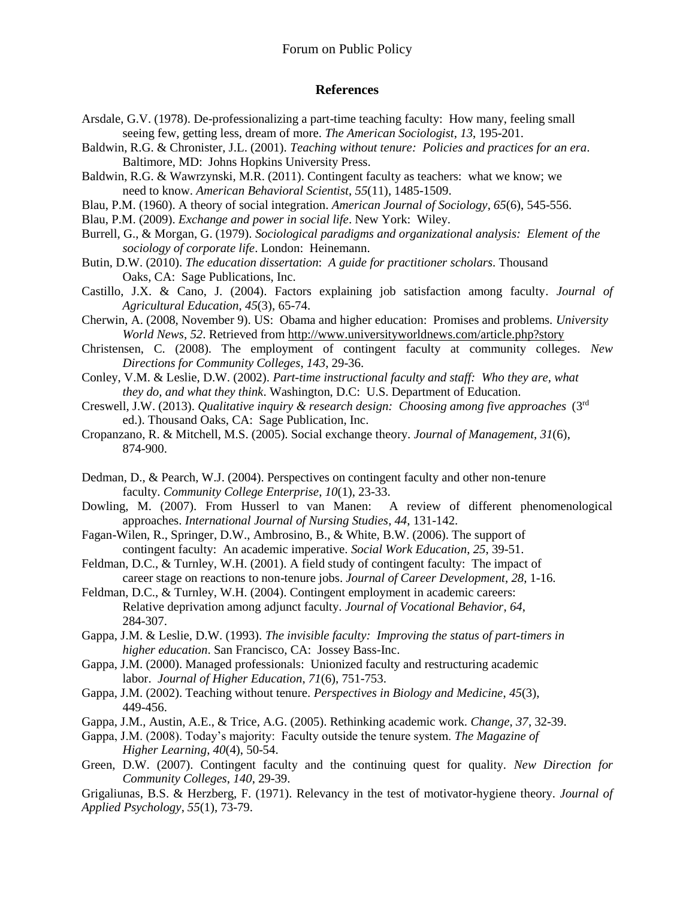#### **References**

- Arsdale, G.V. (1978). De-professionalizing a part-time teaching faculty: How many, feeling small seeing few, getting less, dream of more. *The American Sociologist*, *13*, 195-201.
- Baldwin, R.G. & Chronister, J.L. (2001). *Teaching without tenure: Policies and practices for an era*. Baltimore, MD: Johns Hopkins University Press.
- Baldwin, R.G. & Wawrzynski, M.R. (2011). Contingent faculty as teachers: what we know; we need to know. *American Behavioral Scientist*, *55*(11), 1485-1509.
- Blau, P.M. (1960). A theory of social integration. *American Journal of Sociology*, *65*(6), 545-556.
- Blau, P.M. (2009). *Exchange and power in social life*. New York: Wiley.
- Burrell, G., & Morgan, G. (1979). *Sociological paradigms and organizational analysis: Element of the sociology of corporate life*. London: Heinemann.
- Butin, D.W. (2010). *The education dissertation*: *A guide for practitioner scholars*. Thousand Oaks, CA: Sage Publications, Inc.
- Castillo, J.X. & Cano, J. (2004). Factors explaining job satisfaction among faculty. *Journal of Agricultural Education*, *45*(3), 65-74.
- Cherwin, A. (2008, November 9). US: Obama and higher education: Promises and problems. *University World News*, *52*. Retrieved fro[m http://www.universityworldnews.com/article.php?story](http://www.universityworldnews.com/article.php?story)
- Christensen, C. (2008). The employment of contingent faculty at community colleges. *New Directions for Community Colleges*, *143*, 29-36.
- Conley, V.M. & Leslie, D.W. (2002). *Part-time instructional faculty and staff: Who they are, what they do, and what they think*. Washington, D.C: U.S. Department of Education.
- Creswell, J.W. (2013). *Qualitative inquiry & research design: Choosing among five approaches* (3rd ed.). Thousand Oaks, CA: Sage Publication, Inc.
- Cropanzano, R. & Mitchell, M.S. (2005). Social exchange theory. *Journal of Management*, *31*(6), 874-900.
- Dedman, D., & Pearch, W.J. (2004). Perspectives on contingent faculty and other non-tenure faculty. *Community College Enterprise*, *10*(1), 23-33.
- Dowling, M. (2007). From Husserl to van Manen: A review of different phenomenological approaches. *International Journal of Nursing Studies*, *44*, 131-142.
- Fagan-Wilen, R., Springer, D.W., Ambrosino, B., & White, B.W. (2006). The support of contingent faculty: An academic imperative. *Social Work Education*, *25*, 39-51.
- Feldman, D.C., & Turnley, W.H. (2001). A field study of contingent faculty: The impact of career stage on reactions to non-tenure jobs. *Journal of Career Development*, *28*, 1-16.
- Feldman, D.C., & Turnley, W.H. (2004). Contingent employment in academic careers: Relative deprivation among adjunct faculty. *Journal of Vocational Behavior*, *64*, 284-307.
- Gappa, J.M. & Leslie, D.W. (1993). *The invisible faculty: Improving the status of part-timers in higher education*. San Francisco, CA: Jossey Bass-Inc.
- Gappa, J.M. (2000). Managed professionals: Unionized faculty and restructuring academic labor. *Journal of Higher Education*, *71*(6), 751-753.
- Gappa, J.M. (2002). Teaching without tenure. *Perspectives in Biology and Medicine*, *45*(3), 449-456.
- Gappa, J.M., Austin, A.E., & Trice, A.G. (2005). Rethinking academic work. *Change*, *37*, 32-39.
- Gappa, J.M. (2008). Today's majority: Faculty outside the tenure system. *The Magazine of Higher Learning*, *40*(4), 50-54.
- Green, D.W. (2007). Contingent faculty and the continuing quest for quality. *New Direction for Community Colleges*, *140*, 29-39.

Grigaliunas, B.S. & Herzberg, F. (1971). Relevancy in the test of motivator-hygiene theory. *Journal of Applied Psychology*, *55*(1), 73-79.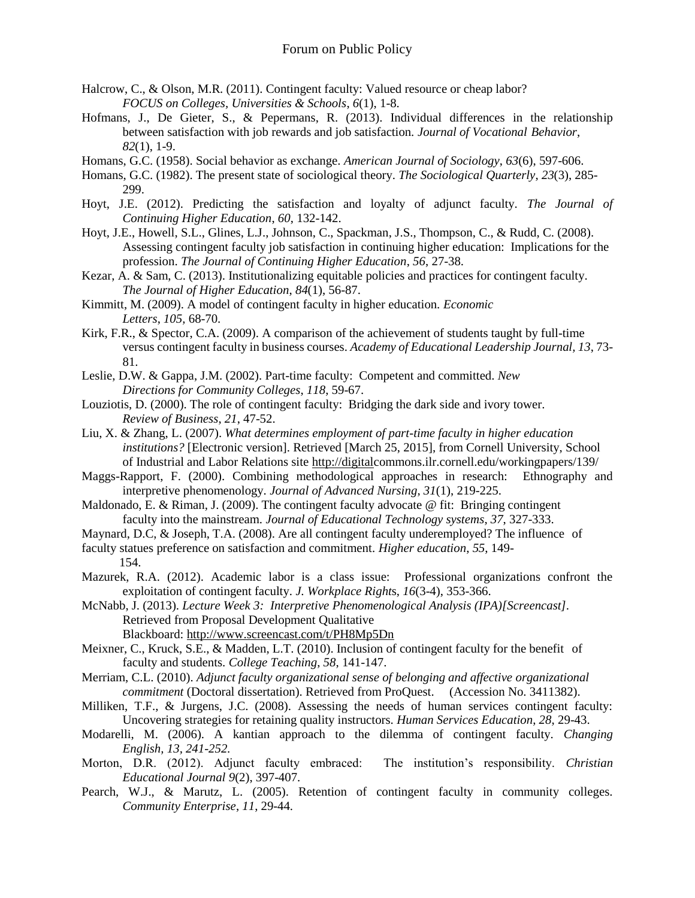- Halcrow, C., & Olson, M.R. (2011). Contingent faculty: Valued resource or cheap labor? *FOCUS on Colleges, Universities & Schools*, *6*(1), 1-8.
- Hofmans, J., De Gieter, S., & Pepermans, R. (2013). Individual differences in the relationship between satisfaction with job rewards and job satisfaction*. Journal of Vocational Behavior*, *82*(1), 1-9.
- Homans, G.C. (1958). Social behavior as exchange. *American Journal of Sociology*, *63*(6), 597-606.
- Homans, G.C. (1982). The present state of sociological theory. *The Sociological Quarterly*, *23*(3), 285- 299.
- Hoyt, J.E. (2012). Predicting the satisfaction and loyalty of adjunct faculty. *The Journal of Continuing Higher Education*, *60*, 132-142.
- Hoyt, J.E., Howell, S.L., Glines, L.J., Johnson, C., Spackman, J.S., Thompson, C., & Rudd, C. (2008). Assessing contingent faculty job satisfaction in continuing higher education: Implications for the profession. *The Journal of Continuing Higher Education*, *56*, 27-38.
- Kezar, A. & Sam, C. (2013). Institutionalizing equitable policies and practices for contingent faculty. *The Journal of Higher Education*, *84*(1), 56-87.
- Kimmitt, M. (2009). A model of contingent faculty in higher education. *Economic Letters*, *105,* 68-70.
- Kirk, F.R., & Spector, C.A. (2009). A comparison of the achievement of students taught by full-time versus contingent faculty in business courses. *Academy of Educational Leadership Journal, 13*, 73- 81.
- Leslie, D.W. & Gappa, J.M. (2002). Part-time faculty: Competent and committed. *New Directions for Community Colleges*, *118*, 59-67.
- Louziotis, D. (2000). The role of contingent faculty: Bridging the dark side and ivory tower. *Review of Business*, *21*, 47-52.
- Liu, X. & Zhang, L. (2007). *What determines employment of part-time faculty in higher education institutions?* [Electronic version]. Retrieved [March 25, 2015], from Cornell University, School of Industrial and Labor Relations site [http://digitalc](http://digital/)ommons.ilr.cornell.edu/workingpapers/139/
- Maggs-Rapport, F. (2000). Combining methodological approaches in research: Ethnography and interpretive phenomenology. *Journal of Advanced Nursing*, *31*(1), 219-225.
- Maldonado, E. & Riman, J. (2009). The contingent faculty advocate @ fit: Bringing contingent faculty into the mainstream*. Journal of Educational Technology systems*, *37*, 327-333.
- Maynard, D.C, & Joseph, T.A. (2008). Are all contingent faculty underemployed? The influence of
- faculty statues preference on satisfaction and commitment. *Higher education*, *55*, 149-
	- 154.
- Mazurek, R.A. (2012). Academic labor is a class issue: Professional organizations confront the exploitation of contingent faculty. *J. Workplace Right*s, *16*(3-4), 353-366.

McNabb, J. (2013). *Lecture Week 3: Interpretive Phenomenological Analysis (IPA)[Screencast]*. Retrieved from Proposal Development Qualitative Blackboard: <http://www.screencast.com/t/PH8Mp5Dn>

- Meixner, C., Kruck, S.E., & Madden, L.T. (2010). Inclusion of contingent faculty for the benefit of faculty and students. *College Teaching*, *58*, 141-147.
- Merriam, C.L. (2010). *Adjunct faculty organizational sense of belonging and affective organizational commitment* (Doctoral dissertation). Retrieved from ProQuest. (Accession No. 3411382).
- Milliken, T.F., & Jurgens, J.C. (2008). Assessing the needs of human services contingent faculty: Uncovering strategies for retaining quality instructors. *Human Services Education*, *28*, 29-43.
- Modarelli, M. (2006). A kantian approach to the dilemma of contingent faculty. *Changing English, 13, 241-252.*
- Morton, D.R. (2012). Adjunct faculty embraced: The institution's responsibility. *Christian Educational Journal 9*(2), 397-407.
- Pearch, W.J., & Marutz, L. (2005). Retention of contingent faculty in community colleges. *Community Enterprise*, *11*, 29-44.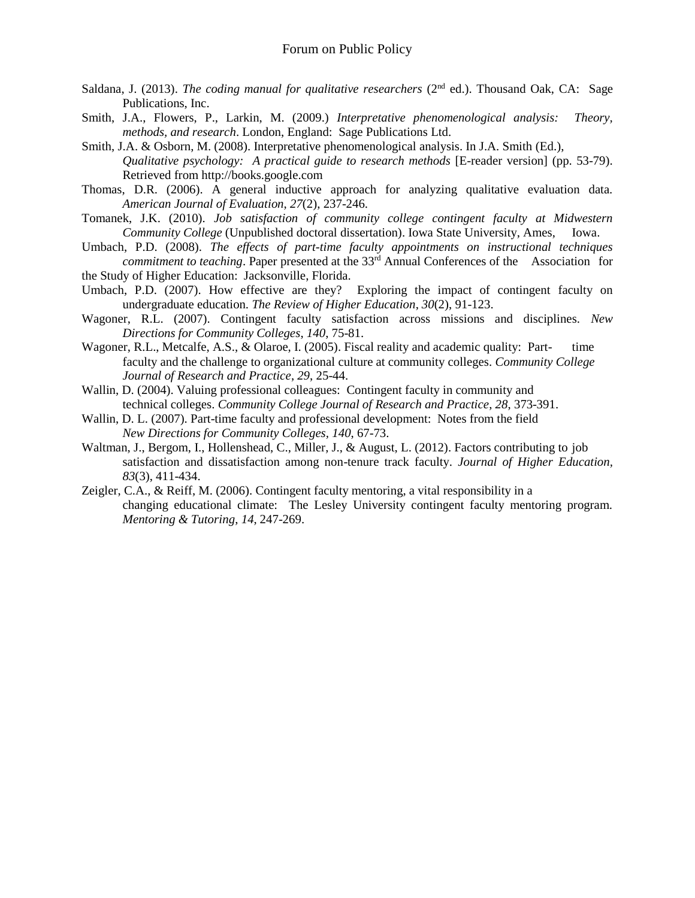- Saldana, J. (2013). *The coding manual for qualitative researchers* (2<sup>nd</sup> ed.). Thousand Oak, CA: Sage Publications, Inc.
- Smith, J.A., Flowers, P., Larkin, M. (2009.) *Interpretative phenomenological analysis: Theory, methods, and research*. London, England: Sage Publications Ltd.
- Smith, J.A. & Osborn, M. (2008). Interpretative phenomenological analysis. In J.A. Smith (Ed.), *Qualitative psychology: A practical guide to research methods* [E-reader version] (pp. 53-79). Retrieved from http://books.google.com
- Thomas, D.R. (2006). A general inductive approach for analyzing qualitative evaluation data. *American Journal of Evaluation*, *27*(2), 237-246.
- Tomanek, J.K. (2010). *Job satisfaction of community college contingent faculty at Midwestern Community College* (Unpublished doctoral dissertation). Iowa State University, Ames, Iowa.
- Umbach, P.D. (2008). *The effects of part-time faculty appointments on instructional techniques commitment to teaching*. Paper presented at the 33rd Annual Conferences of the Association for the Study of Higher Education: Jacksonville, Florida.
- Umbach, P.D. (2007). How effective are they? Exploring the impact of contingent faculty on undergraduate education. *The Review of Higher Education*, *30*(2), 91-123.
- Wagoner, R.L. (2007). Contingent faculty satisfaction across missions and disciplines. *New Directions for Community Colleges*, *140*, 75-81.
- Wagoner, R.L., Metcalfe, A.S., & Olaroe, I. (2005). Fiscal reality and academic quality: Part- time faculty and the challenge to organizational culture at community colleges. *Community College Journal of Research and Practice*, *29*, 25-44.
- Wallin, D. (2004). Valuing professional colleagues: Contingent faculty in community and technical colleges. *Community College Journal of Research and Practice*, *28*, 373-391.
- Wallin, D. L. (2007). Part-time faculty and professional development: Notes from the field *New Directions for Community Colleges, 140*, 67-73.
- Waltman, J., Bergom, I., Hollenshead, C., Miller, J., & August, L. (2012). Factors contributing to job satisfaction and dissatisfaction among non-tenure track faculty. *Journal of Higher Education, 83*(3), 411-434.
- Zeigler, C.A., & Reiff, M. (2006). Contingent faculty mentoring, a vital responsibility in a changing educational climate: The Lesley University contingent faculty mentoring program. *Mentoring & Tutoring*, *14*, 247-269.